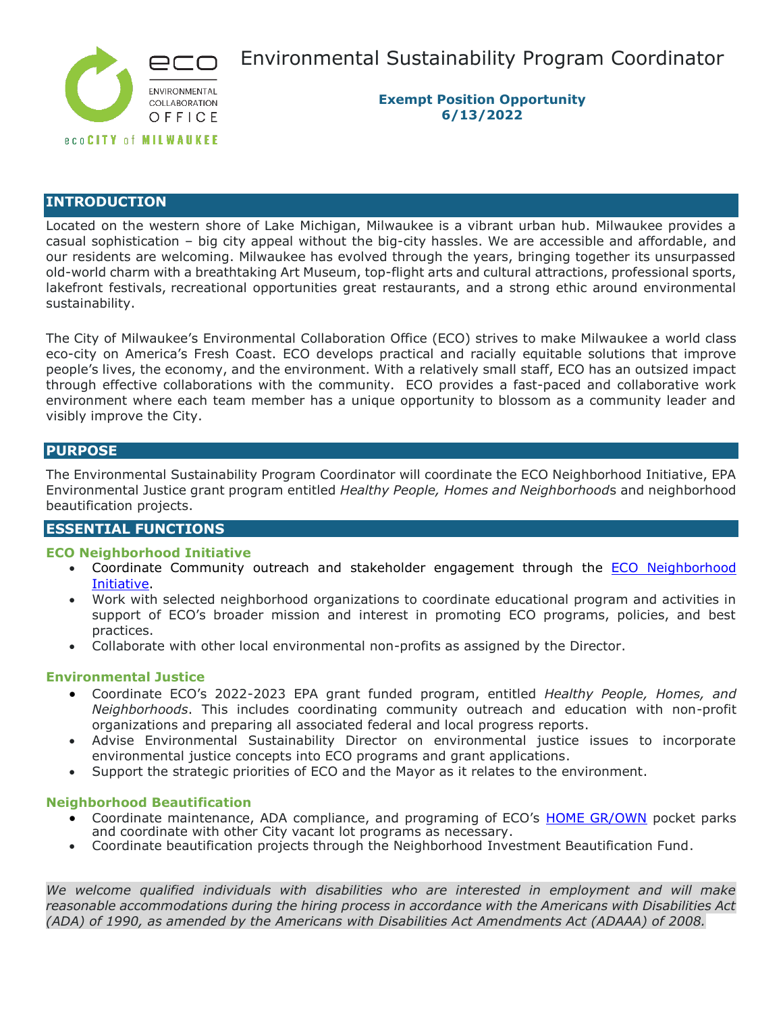

Environmental Sustainability Program Coordinator

**Exempt Position Opportunity 6/13/2022**

## **INTRODUCTION**

Located on the western shore of Lake Michigan, Milwaukee is a vibrant urban hub. Milwaukee provides a casual sophistication – big city appeal without the big-city hassles. We are accessible and affordable, and our residents are welcoming. Milwaukee has evolved through the years, bringing together its unsurpassed old-world charm with a breathtaking Art Museum, top-flight arts and cultural attractions, professional sports, lakefront festivals, recreational opportunities great restaurants, and a strong ethic around environmental sustainability.

The City of Milwaukee's Environmental Collaboration Office (ECO) strives to make Milwaukee a world class eco-city on America's Fresh Coast. ECO develops practical and racially equitable solutions that improve people's lives, the economy, and the environment. With a relatively small staff, ECO has an outsized impact through effective collaborations with the community. ECO provides a fast-paced and collaborative work environment where each team member has a unique opportunity to blossom as a community leader and visibly improve the City.

## **PURPOSE**

The Environmental Sustainability Program Coordinator will coordinate the ECO Neighborhood Initiative, EPA Environmental Justice grant program entitled *Healthy People, Homes and Neighborhood*s and neighborhood beautification projects.

## **ESSENTIAL FUNCTIONS**

## **ECO Neighborhood Initiative**

- Coordinate Community outreach and stakeholder engagement through the **ECO Neighborhood** [Initiative.](https://city.milwaukee.gov/homegrownmilwaukee/HOME-GROWN-new/Placemaking)
- Work with selected neighborhood organizations to coordinate educational program and activities in support of ECO's broader mission and interest in promoting ECO programs, policies, and best practices.
- Collaborate with other local environmental non-profits as assigned by the Director.

### **Environmental Justice**

- Coordinate ECO's 2022-2023 EPA grant funded program, entitled *Healthy People, Homes, and Neighborhoods*. This includes coordinating community outreach and education with non-profit organizations and preparing all associated federal and local progress reports.
- Advise Environmental Sustainability Director on environmental justice issues to incorporate environmental justice concepts into ECO programs and grant applications.
- Support the strategic priorities of ECO and the Mayor as it relates to the environment.

### **Neighborhood Beautification**

- Coordinate maintenance, ADA compliance, and programing of ECO's [HOME GR/OWN](https://city.milwaukee.gov/homegrownmilwaukee/HOME-GROWN) pocket parks and coordinate with other City vacant lot programs as necessary.
- Coordinate beautification projects through the Neighborhood Investment Beautification Fund.

*We welcome qualified individuals with disabilities who are interested in employment and will make reasonable accommodations during the hiring process in accordance with the Americans with Disabilities Act (ADA) of 1990, as amended by the Americans with Disabilities Act Amendments Act (ADAAA) of 2008.*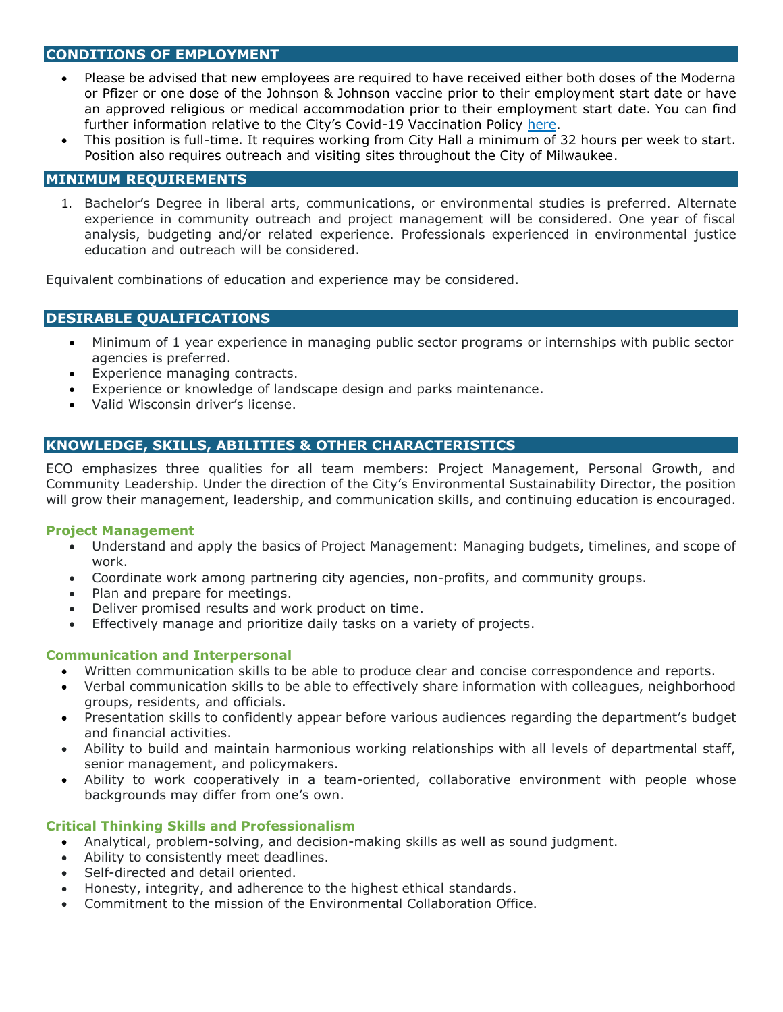# **CONDITIONS OF EMPLOYMENT**

- Please be advised that new employees are required to have received either both doses of the Moderna or Pfizer or one dose of the Johnson & Johnson vaccine prior to their employment start date or have an approved religious or medical accommodation prior to their employment start date. You can find further information relative to the City's Covid-19 Vaccination Policy [here.](https://city.milwaukee.gov/ImageLibrary/User/jkamme/Policies/FinalCOVID-19VaccinationPolicy9.1.2021-final.pdf)
- This position is full-time. It requires working from City Hall a minimum of 32 hours per week to start. Position also requires outreach and visiting sites throughout the City of Milwaukee.

### **MINIMUM REQUIREMENTS**

1. Bachelor's Degree in liberal arts, communications, or environmental studies is preferred. Alternate experience in community outreach and project management will be considered. One year of fiscal analysis, budgeting and/or related experience. Professionals experienced in environmental justice education and outreach will be considered.

Equivalent combinations of education and experience may be considered.

# **DESIRABLE QUALIFICATIONS**

- Minimum of 1 year experience in managing public sector programs or internships with public sector agencies is preferred.
- Experience managing contracts.
- Experience or knowledge of landscape design and parks maintenance.
- Valid Wisconsin driver's license.

# **KNOWLEDGE, SKILLS, ABILITIES & OTHER CHARACTERISTICS**

ECO emphasizes three qualities for all team members: Project Management, Personal Growth, and Community Leadership. Under the direction of the City's Environmental Sustainability Director, the position will grow their management, leadership, and communication skills, and continuing education is encouraged.

### **Project Management**

- Understand and apply the basics of Project Management: Managing budgets, timelines, and scope of work.
- Coordinate work among partnering city agencies, non-profits, and community groups.
- Plan and prepare for meetings.
- Deliver promised results and work product on time.
- Effectively manage and prioritize daily tasks on a variety of projects.

## **Communication and Interpersonal**

- Written communication skills to be able to produce clear and concise correspondence and reports.
- Verbal communication skills to be able to effectively share information with colleagues, neighborhood groups, residents, and officials.
- Presentation skills to confidently appear before various audiences regarding the department's budget and financial activities.
- Ability to build and maintain harmonious working relationships with all levels of departmental staff, senior management, and policymakers.
- Ability to work cooperatively in a team-oriented, collaborative environment with people whose backgrounds may differ from one's own.

## **Critical Thinking Skills and Professionalism**

- Analytical, problem-solving, and decision-making skills as well as sound judgment.
- Ability to consistently meet deadlines.
- Self-directed and detail oriented.
- Honesty, integrity, and adherence to the highest ethical standards.
- Commitment to the mission of the Environmental Collaboration Office.